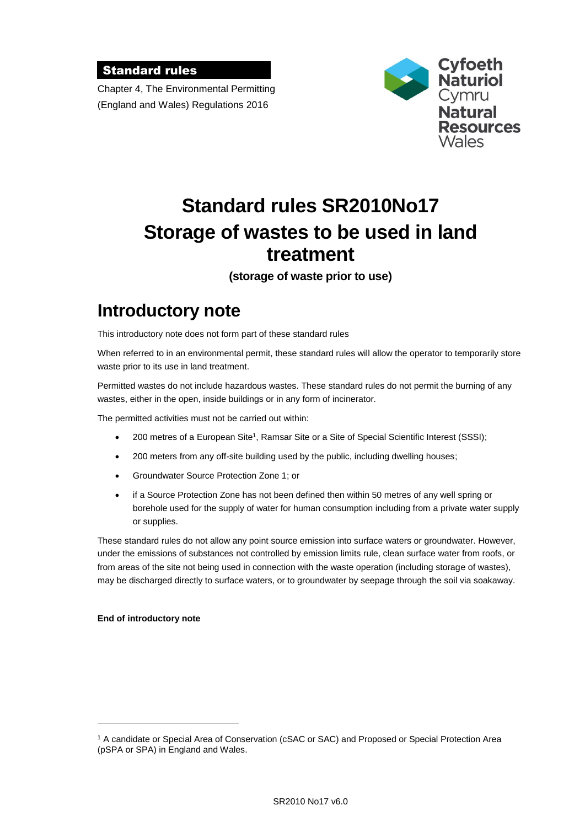### Standard rules

Chapter 4, The Environmental Permitting (England and Wales) Regulations 2016



# **Standard rules SR2010No17 Storage of wastes to be used in land treatment**

**(storage of waste prior to use)**

## **Introductory note**

This introductory note does not form part of these standard rules

When referred to in an environmental permit, these standard rules will allow the operator to temporarily store waste prior to its use in land treatment.

Permitted wastes do not include hazardous wastes. These standard rules do not permit the burning of any wastes, either in the open, inside buildings or in any form of incinerator.

The permitted activities must not be carried out within:

- 200 metres of a European Site<sup>1</sup>, Ramsar Site or a Site of Special Scientific Interest (SSSI);
- 200 meters from any off-site building used by the public, including dwelling houses;
- Groundwater Source Protection Zone 1; or
- if a Source Protection Zone has not been defined then within 50 metres of any well spring or borehole used for the supply of water for human consumption including from a private water supply or supplies.

These standard rules do not allow any point source emission into surface waters or groundwater. However, under the emissions of substances not controlled by emission limits rule, clean surface water from roofs, or from areas of the site not being used in connection with the waste operation (including storage of wastes), may be discharged directly to surface waters, or to groundwater by seepage through the soil via soakaway.

#### **End of introductory note**

 $\overline{a}$ 

<sup>1</sup> A candidate or Special Area of Conservation (cSAC or SAC) and Proposed or Special Protection Area (pSPA or SPA) in England and Wales.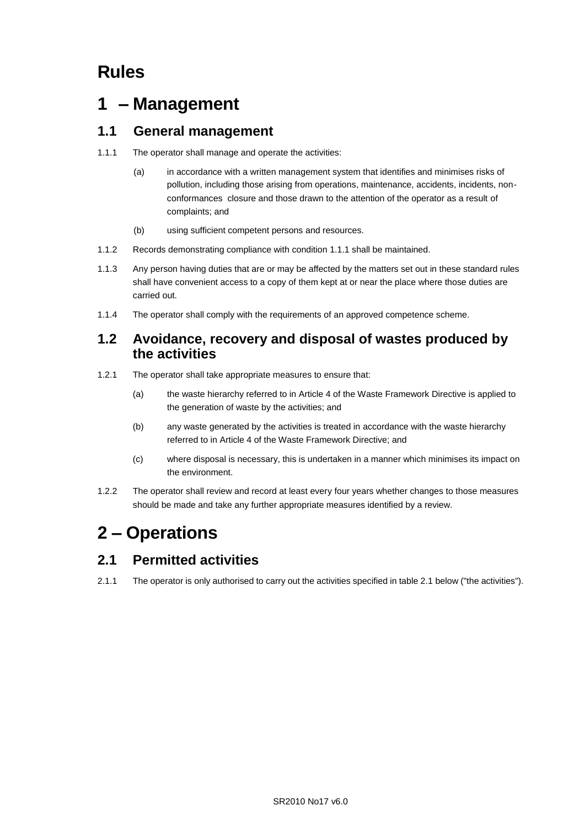## **Rules**

## **1 – Management**

## **1.1 General management**

- 1.1.1 The operator shall manage and operate the activities:
	- (a) in accordance with a written management system that identifies and minimises risks of pollution, including those arising from operations, maintenance, accidents, incidents, nonconformances closure and those drawn to the attention of the operator as a result of complaints; and
	- (b) using sufficient competent persons and resources.
- 1.1.2 Records demonstrating compliance with condition 1.1.1 shall be maintained.
- 1.1.3 Any person having duties that are or may be affected by the matters set out in these standard rules shall have convenient access to a copy of them kept at or near the place where those duties are carried out.
- 1.1.4 The operator shall comply with the requirements of an approved competence scheme.

### **1.2 Avoidance, recovery and disposal of wastes produced by the activities**

- 1.2.1 The operator shall take appropriate measures to ensure that:
	- (a) the waste hierarchy referred to in Article 4 of the Waste Framework Directive is applied to the generation of waste by the activities; and
	- (b) any waste generated by the activities is treated in accordance with the waste hierarchy referred to in Article 4 of the Waste Framework Directive; and
	- (c) where disposal is necessary, this is undertaken in a manner which minimises its impact on the environment.
- 1.2.2 The operator shall review and record at least every four years whether changes to those measures should be made and take any further appropriate measures identified by a review.

## **2 – Operations**

## **2.1 Permitted activities**

2.1.1 The operator is only authorised to carry out the activities specified in table 2.1 below ("the activities").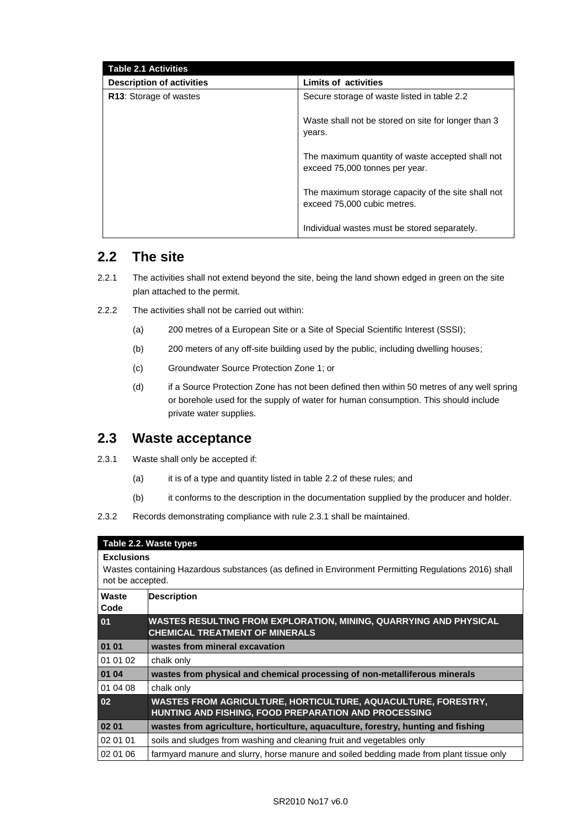| <b>Table 2.1 Activities</b>      |                                                                                    |
|----------------------------------|------------------------------------------------------------------------------------|
| <b>Description of activities</b> | <b>Limits of activities</b>                                                        |
| R13: Storage of wastes           | Secure storage of waste listed in table 2.2                                        |
|                                  | Waste shall not be stored on site for longer than 3<br>years.                      |
|                                  | The maximum quantity of waste accepted shall not<br>exceed 75,000 tonnes per year. |
|                                  | The maximum storage capacity of the site shall not<br>exceed 75,000 cubic metres.  |
|                                  | Individual wastes must be stored separately.                                       |

## **2.2 The site**

- 2.2.1 The activities shall not extend beyond the site, being the land shown edged in green on the site plan attached to the permit.
- 2.2.2 The activities shall not be carried out within:
	- (a) 200 metres of a European Site or a Site of Special Scientific Interest (SSSI);
	- (b) 200 meters of any off-site building used by the public, including dwelling houses;
	- (c) Groundwater Source Protection Zone 1; or
	- (d) if a Source Protection Zone has not been defined then within 50 metres of any well spring or borehole used for the supply of water for human consumption. This should include private water supplies.

### **2.3 Waste acceptance**

- 2.3.1 Waste shall only be accepted if:
	- (a) it is of a type and quantity listed in table 2.2 of these rules; and
	- (b) it conforms to the description in the documentation supplied by the producer and holder.
- 2.3.2 Records demonstrating compliance with rule 2.3.1 shall be maintained.

|                                                                                                                                               | Table 2.2. Waste types                                                                                                       |  |  |
|-----------------------------------------------------------------------------------------------------------------------------------------------|------------------------------------------------------------------------------------------------------------------------------|--|--|
| <b>Exclusions</b><br>Wastes containing Hazardous substances (as defined in Environment Permitting Regulations 2016) shall<br>not be accepted. |                                                                                                                              |  |  |
| Waste<br>Code                                                                                                                                 | <b>Description</b>                                                                                                           |  |  |
| 01                                                                                                                                            | WASTES RESULTING FROM EXPLORATION, MINING, QUARRYING AND PHYSICAL<br><b>CHEMICAL TREATMENT OF MINERALS</b>                   |  |  |
| 01 01                                                                                                                                         | wastes from mineral excavation                                                                                               |  |  |
| 01 01 02                                                                                                                                      | chalk only                                                                                                                   |  |  |
| 01 04                                                                                                                                         | wastes from physical and chemical processing of non-metalliferous minerals                                                   |  |  |
| 01 04 08                                                                                                                                      | chalk only                                                                                                                   |  |  |
| 02                                                                                                                                            | WASTES FROM AGRICULTURE, HORTICULTURE, AQUACULTURE, FORESTRY,<br><b>HUNTING AND FISHING, FOOD PREPARATION AND PROCESSING</b> |  |  |
| 02 01                                                                                                                                         | wastes from agriculture, horticulture, aguaculture, forestry, hunting and fishing                                            |  |  |
| 02 01 01                                                                                                                                      | soils and sludges from washing and cleaning fruit and vegetables only                                                        |  |  |
| 02 01 06                                                                                                                                      | farmyard manure and slurry, horse manure and soiled bedding made from plant tissue only                                      |  |  |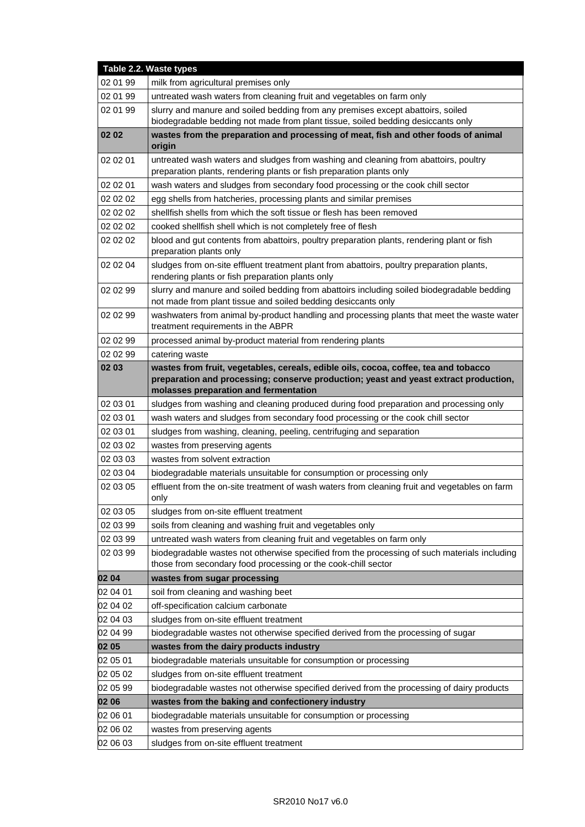|          | Table 2.2. Waste types                                                                                                                                        |
|----------|---------------------------------------------------------------------------------------------------------------------------------------------------------------|
| 02 01 99 | milk from agricultural premises only                                                                                                                          |
| 02 01 99 | untreated wash waters from cleaning fruit and vegetables on farm only                                                                                         |
| 02 01 99 | slurry and manure and soiled bedding from any premises except abattoirs, soiled                                                                               |
|          | biodegradable bedding not made from plant tissue, soiled bedding desiccants only                                                                              |
| 02 02    | wastes from the preparation and processing of meat, fish and other foods of animal<br>origin                                                                  |
| 02 02 01 | untreated wash waters and sludges from washing and cleaning from abattoirs, poultry                                                                           |
|          | preparation plants, rendering plants or fish preparation plants only                                                                                          |
| 02 02 01 | wash waters and sludges from secondary food processing or the cook chill sector                                                                               |
| 02 02 02 | egg shells from hatcheries, processing plants and similar premises                                                                                            |
| 02 02 02 | shellfish shells from which the soft tissue or flesh has been removed                                                                                         |
| 02 02 02 | cooked shellfish shell which is not completely free of flesh                                                                                                  |
| 02 02 02 | blood and gut contents from abattoirs, poultry preparation plants, rendering plant or fish<br>preparation plants only                                         |
| 02 02 04 | sludges from on-site effluent treatment plant from abattoirs, poultry preparation plants,<br>rendering plants or fish preparation plants only                 |
| 02 02 99 | slurry and manure and soiled bedding from abattoirs including soiled biodegradable bedding<br>not made from plant tissue and soiled bedding desiccants only   |
| 02 02 99 | washwaters from animal by-product handling and processing plants that meet the waste water<br>treatment requirements in the ABPR                              |
| 02 02 99 | processed animal by-product material from rendering plants                                                                                                    |
| 02 02 99 | catering waste                                                                                                                                                |
| 02 03    | wastes from fruit, vegetables, cereals, edible oils, cocoa, coffee, tea and tobacco                                                                           |
|          | preparation and processing; conserve production; yeast and yeast extract production,<br>molasses preparation and fermentation                                 |
| 02 03 01 | sludges from washing and cleaning produced during food preparation and processing only                                                                        |
| 02 03 01 | wash waters and sludges from secondary food processing or the cook chill sector                                                                               |
| 02 03 01 | sludges from washing, cleaning, peeling, centrifuging and separation                                                                                          |
| 02 03 02 | wastes from preserving agents                                                                                                                                 |
| 02 03 03 | wastes from solvent extraction                                                                                                                                |
| 02 03 04 | biodegradable materials unsuitable for consumption or processing only                                                                                         |
| 02 03 05 | effluent from the on-site treatment of wash waters from cleaning fruit and vegetables on farm<br>only                                                         |
| 02 03 05 | sludges from on-site effluent treatment                                                                                                                       |
| 02 03 99 | soils from cleaning and washing fruit and vegetables only                                                                                                     |
| 02 03 99 | untreated wash waters from cleaning fruit and vegetables on farm only                                                                                         |
| 02 03 99 | biodegradable wastes not otherwise specified from the processing of such materials including<br>those from secondary food processing or the cook-chill sector |
| 02 04    | wastes from sugar processing                                                                                                                                  |
| 02 04 01 | soil from cleaning and washing beet                                                                                                                           |
| 02 04 02 | off-specification calcium carbonate                                                                                                                           |
| 02 04 03 | sludges from on-site effluent treatment                                                                                                                       |
| 02 04 99 | biodegradable wastes not otherwise specified derived from the processing of sugar                                                                             |
| 02 05    | wastes from the dairy products industry                                                                                                                       |
| 02 05 01 | biodegradable materials unsuitable for consumption or processing                                                                                              |
| 02 05 02 | sludges from on-site effluent treatment                                                                                                                       |
| 02 05 99 | biodegradable wastes not otherwise specified derived from the processing of dairy products                                                                    |
| 02 06    | wastes from the baking and confectionery industry                                                                                                             |
| 02 06 01 | biodegradable materials unsuitable for consumption or processing                                                                                              |
| 02 06 02 | wastes from preserving agents                                                                                                                                 |
| 02 06 03 | sludges from on-site effluent treatment                                                                                                                       |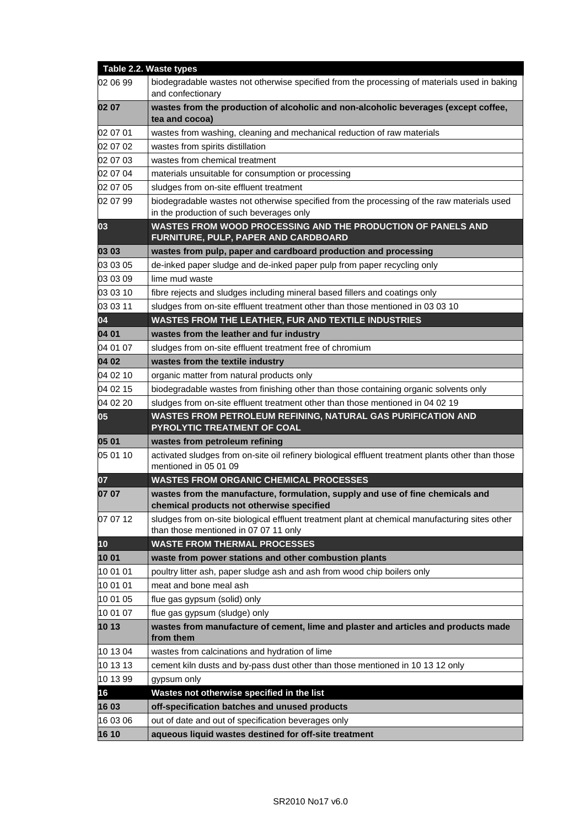|                 | Table 2.2. Waste types                                                                                                                  |
|-----------------|-----------------------------------------------------------------------------------------------------------------------------------------|
| 02 06 99        | biodegradable wastes not otherwise specified from the processing of materials used in baking<br>and confectionary                       |
| 02 07           | wastes from the production of alcoholic and non-alcoholic beverages (except coffee,<br>tea and cocoa)                                   |
| 02 07 01        | wastes from washing, cleaning and mechanical reduction of raw materials                                                                 |
| 02 07 02        | wastes from spirits distillation                                                                                                        |
| 02 07 03        | wastes from chemical treatment                                                                                                          |
| 02 07 04        | materials unsuitable for consumption or processing                                                                                      |
| 02 07 05        | sludges from on-site effluent treatment                                                                                                 |
| 02 07 99        | biodegradable wastes not otherwise specified from the processing of the raw materials used                                              |
|                 | in the production of such beverages only                                                                                                |
| 03              | WASTES FROM WOOD PROCESSING AND THE PRODUCTION OF PANELS AND<br>FURNITURE, PULP, PAPER AND CARDBOARD                                    |
| 03 03           | wastes from pulp, paper and cardboard production and processing                                                                         |
| 03 03 05        | de-inked paper sludge and de-inked paper pulp from paper recycling only                                                                 |
| 03 03 09        | lime mud waste                                                                                                                          |
| 03 03 10        | fibre rejects and sludges including mineral based fillers and coatings only                                                             |
| 03 03 11        | sludges from on-site effluent treatment other than those mentioned in 03 03 10                                                          |
| 04              | <b>WASTES FROM THE LEATHER, FUR AND TEXTILE INDUSTRIES</b>                                                                              |
| 04 01           | wastes from the leather and fur industry                                                                                                |
| 04 01 07        | sludges from on-site effluent treatment free of chromium                                                                                |
| 04 02           | wastes from the textile industry                                                                                                        |
| 04 02 10        | organic matter from natural products only                                                                                               |
| 04 02 15        | biodegradable wastes from finishing other than those containing organic solvents only                                                   |
| 04 02 20        | sludges from on-site effluent treatment other than those mentioned in 04 02 19                                                          |
| $\overline{05}$ | WASTES FROM PETROLEUM REFINING, NATURAL GAS PURIFICATION AND<br>PYROLYTIC TREATMENT OF COAL                                             |
| 05 01           | wastes from petroleum refining                                                                                                          |
| 05 01 10        | activated sludges from on-site oil refinery biological effluent treatment plants other than those<br>mentioned in 05 01 09              |
| 07              | <b>WASTES FROM ORGANIC CHEMICAL PROCESSES</b>                                                                                           |
| 07 07           | wastes from the manufacture, formulation, supply and use of fine chemicals and<br>chemical products not otherwise specified             |
| 07 07 12        | sludges from on-site biological effluent treatment plant at chemical manufacturing sites other<br>than those mentioned in 07 07 11 only |
| 10              | <b>WASTE FROM THERMAL PROCESSES</b>                                                                                                     |
| 1001            | waste from power stations and other combustion plants                                                                                   |
| 10 01 01        | poultry litter ash, paper sludge ash and ash from wood chip boilers only                                                                |
| 10 01 01        | meat and bone meal ash                                                                                                                  |
| 10 01 05        | flue gas gypsum (solid) only                                                                                                            |
| 10 01 07        | flue gas gypsum (sludge) only                                                                                                           |
| 10 13           | wastes from manufacture of cement, lime and plaster and articles and products made<br>from them                                         |
| 10 13 04        | wastes from calcinations and hydration of lime                                                                                          |
| 10 13 13        | cement kiln dusts and by-pass dust other than those mentioned in 10 13 12 only                                                          |
| 10 13 99        | gypsum only                                                                                                                             |
| 16              | Wastes not otherwise specified in the list                                                                                              |
| 16 03           | off-specification batches and unused products                                                                                           |
| 16 03 06        | out of date and out of specification beverages only                                                                                     |
| 16 10           | aqueous liquid wastes destined for off-site treatment                                                                                   |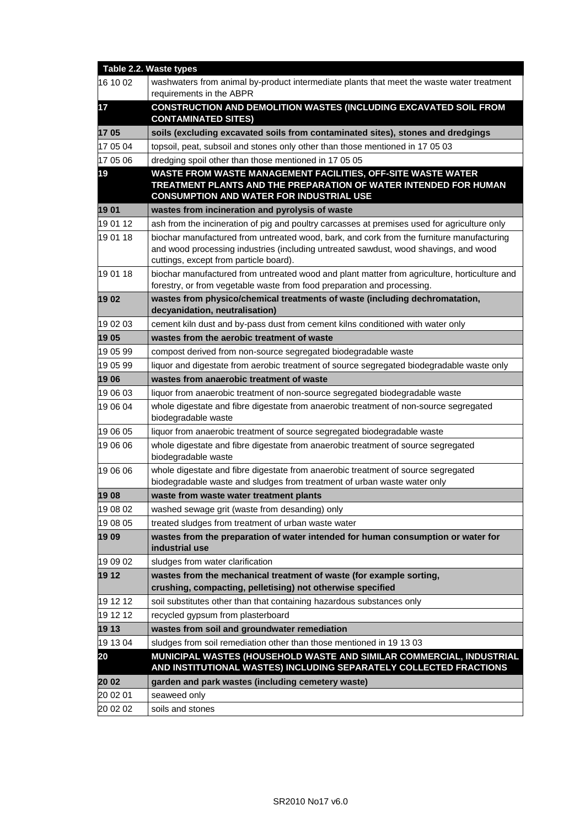|          | Table 2.2. Waste types                                                                                                                                                                                                      |
|----------|-----------------------------------------------------------------------------------------------------------------------------------------------------------------------------------------------------------------------------|
| 16 10 02 | washwaters from animal by-product intermediate plants that meet the waste water treatment<br>requirements in the ABPR                                                                                                       |
| 17       | CONSTRUCTION AND DEMOLITION WASTES (INCLUDING EXCAVATED SOIL FROM<br><b>CONTAMINATED SITES)</b>                                                                                                                             |
| 1705     | soils (excluding excavated soils from contaminated sites), stones and dredgings                                                                                                                                             |
| 17 05 04 | topsoil, peat, subsoil and stones only other than those mentioned in 17 05 03                                                                                                                                               |
| 17 05 06 | dredging spoil other than those mentioned in 17 05 05                                                                                                                                                                       |
| 19       | <b>WASTE FROM WASTE MANAGEMENT FACILITIES, OFF-SITE WASTE WATER</b><br>TREATMENT PLANTS AND THE PREPARATION OF WATER INTENDED FOR HUMAN<br><b>CONSUMPTION AND WATER FOR INDUSTRIAL USE</b>                                  |
| 1901     | wastes from incineration and pyrolysis of waste                                                                                                                                                                             |
| 19 01 12 | ash from the incineration of pig and poultry carcasses at premises used for agriculture only                                                                                                                                |
| 19 01 18 | biochar manufactured from untreated wood, bark, and cork from the furniture manufacturing<br>and wood processing industries (including untreated sawdust, wood shavings, and wood<br>cuttings, except from particle board). |
| 19 01 18 | biochar manufactured from untreated wood and plant matter from agriculture, horticulture and<br>forestry, or from vegetable waste from food preparation and processing.                                                     |
| 1902     | wastes from physico/chemical treatments of waste (including dechromatation,<br>decyanidation, neutralisation)                                                                                                               |
| 19 02 03 | cement kiln dust and by-pass dust from cement kilns conditioned with water only                                                                                                                                             |
| 1905     | wastes from the aerobic treatment of waste                                                                                                                                                                                  |
| 19 05 99 | compost derived from non-source segregated biodegradable waste                                                                                                                                                              |
| 19 05 99 | liquor and digestate from aerobic treatment of source segregated biodegradable waste only                                                                                                                                   |
| 1906     | wastes from anaerobic treatment of waste                                                                                                                                                                                    |
| 19 06 03 | liquor from anaerobic treatment of non-source segregated biodegradable waste                                                                                                                                                |
| 19 06 04 | whole digestate and fibre digestate from anaerobic treatment of non-source segregated<br>biodegradable waste                                                                                                                |
| 19 06 05 | liquor from anaerobic treatment of source segregated biodegradable waste                                                                                                                                                    |
| 19 06 06 | whole digestate and fibre digestate from anaerobic treatment of source segregated<br>biodegradable waste                                                                                                                    |
| 19 06 06 | whole digestate and fibre digestate from anaerobic treatment of source segregated<br>biodegradable waste and sludges from treatment of urban waste water only                                                               |
| 1908     | waste from waste water treatment plants                                                                                                                                                                                     |
| 19 08 02 | washed sewage grit (waste from desanding) only                                                                                                                                                                              |
| 19 08 05 | treated sludges from treatment of urban waste water                                                                                                                                                                         |
| 1909     | wastes from the preparation of water intended for human consumption or water for<br>industrial use                                                                                                                          |
| 19 09 02 | sludges from water clarification                                                                                                                                                                                            |
| 19 12    | wastes from the mechanical treatment of waste (for example sorting,<br>crushing, compacting, pelletising) not otherwise specified                                                                                           |
| 19 12 12 | soil substitutes other than that containing hazardous substances only                                                                                                                                                       |
| 19 12 12 | recycled gypsum from plasterboard                                                                                                                                                                                           |
| 19 13    | wastes from soil and groundwater remediation                                                                                                                                                                                |
| 19 13 04 | sludges from soil remediation other than those mentioned in 19 13 03                                                                                                                                                        |
| 20       | MUNICIPAL WASTES (HOUSEHOLD WASTE AND SIMILAR COMMERCIAL, INDUSTRIAL<br>AND INSTITUTIONAL WASTES) INCLUDING SEPARATELY COLLECTED FRACTIONS                                                                                  |
| 20 02    | garden and park wastes (including cemetery waste)                                                                                                                                                                           |
| 20 02 01 | seaweed only                                                                                                                                                                                                                |
| 20 02 02 | soils and stones                                                                                                                                                                                                            |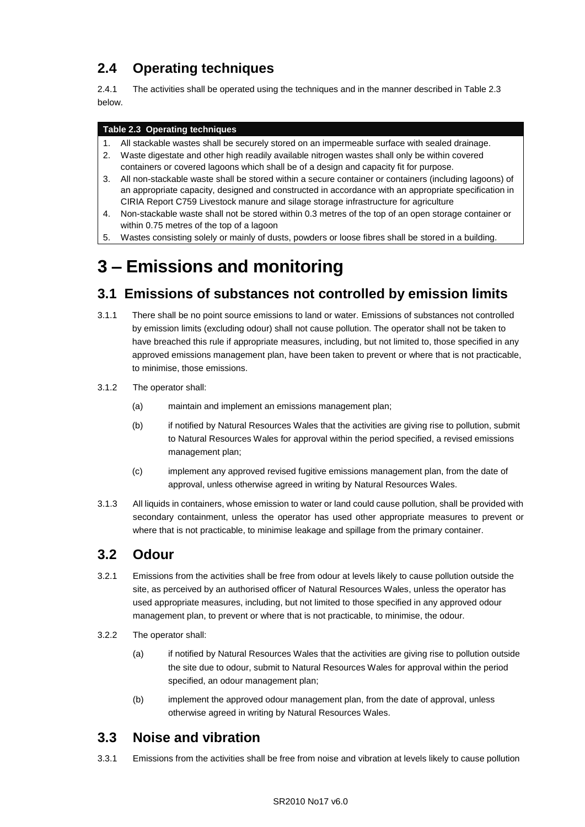## **2.4 Operating techniques**

2.4.1 The activities shall be operated using the techniques and in the manner described in Table 2.3 below.

#### **Table 2.3 Operating techniques**

- 1. All stackable wastes shall be securely stored on an impermeable surface with sealed drainage.
- 2. Waste digestate and other high readily available nitrogen wastes shall only be within covered containers or covered lagoons which shall be of a design and capacity fit for purpose.
- 3. All non-stackable waste shall be stored within a secure container or containers (including lagoons) of an appropriate capacity, designed and constructed in accordance with an appropriate specification in CIRIA Report C759 Livestock manure and silage storage infrastructure for agriculture
- 4. Non-stackable waste shall not be stored within 0.3 metres of the top of an open storage container or within 0.75 metres of the top of a lagoon
- 5. Wastes consisting solely or mainly of dusts, powders or loose fibres shall be stored in a building.

## **3 – Emissions and monitoring**

## **3.1 Emissions of substances not controlled by emission limits**

- 3.1.1 There shall be no point source emissions to land or water. Emissions of substances not controlled by emission limits (excluding odour) shall not cause pollution. The operator shall not be taken to have breached this rule if appropriate measures, including, but not limited to, those specified in any approved emissions management plan, have been taken to prevent or where that is not practicable, to minimise, those emissions.
- 3.1.2 The operator shall:
	- (a) maintain and implement an emissions management plan;
	- (b) if notified by Natural Resources Wales that the activities are giving rise to pollution, submit to Natural Resources Wales for approval within the period specified, a revised emissions management plan;
	- (c) implement any approved revised fugitive emissions management plan, from the date of approval, unless otherwise agreed in writing by Natural Resources Wales.
- 3.1.3 All liquids in containers, whose emission to water or land could cause pollution, shall be provided with secondary containment, unless the operator has used other appropriate measures to prevent or where that is not practicable, to minimise leakage and spillage from the primary container.

## **3.2 Odour**

- 3.2.1 Emissions from the activities shall be free from odour at levels likely to cause pollution outside the site, as perceived by an authorised officer of Natural Resources Wales, unless the operator has used appropriate measures, including, but not limited to those specified in any approved odour management plan, to prevent or where that is not practicable, to minimise, the odour.
- 3.2.2 The operator shall:
	- (a) if notified by Natural Resources Wales that the activities are giving rise to pollution outside the site due to odour, submit to Natural Resources Wales for approval within the period specified, an odour management plan;
	- (b) implement the approved odour management plan, from the date of approval, unless otherwise agreed in writing by Natural Resources Wales.

## **3.3 Noise and vibration**

3.3.1 Emissions from the activities shall be free from noise and vibration at levels likely to cause pollution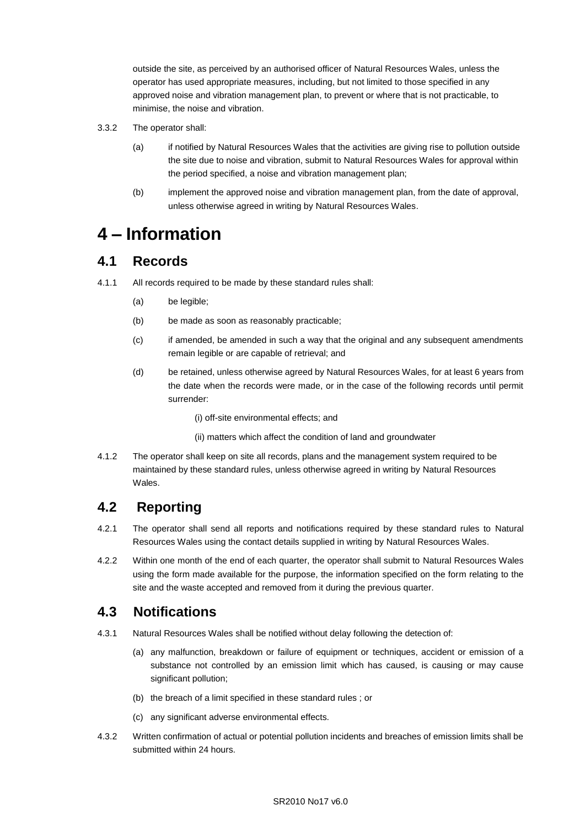outside the site, as perceived by an authorised officer of Natural Resources Wales, unless the operator has used appropriate measures, including, but not limited to those specified in any approved noise and vibration management plan, to prevent or where that is not practicable, to minimise, the noise and vibration.

- 3.3.2 The operator shall:
	- (a) if notified by Natural Resources Wales that the activities are giving rise to pollution outside the site due to noise and vibration, submit to Natural Resources Wales for approval within the period specified, a noise and vibration management plan;
	- (b) implement the approved noise and vibration management plan, from the date of approval, unless otherwise agreed in writing by Natural Resources Wales.

## **4 – Information**

### **4.1 Records**

- 4.1.1 All records required to be made by these standard rules shall:
	- (a) be legible;
	- (b) be made as soon as reasonably practicable;
	- (c) if amended, be amended in such a way that the original and any subsequent amendments remain legible or are capable of retrieval; and
	- (d) be retained, unless otherwise agreed by Natural Resources Wales, for at least 6 years from the date when the records were made, or in the case of the following records until permit surrender:
		- (i) off-site environmental effects; and
		- (ii) matters which affect the condition of land and groundwater
- 4.1.2 The operator shall keep on site all records, plans and the management system required to be maintained by these standard rules, unless otherwise agreed in writing by Natural Resources Wales.

## **4.2 Reporting**

- 4.2.1 The operator shall send all reports and notifications required by these standard rules to Natural Resources Wales using the contact details supplied in writing by Natural Resources Wales.
- 4.2.2 Within one month of the end of each quarter, the operator shall submit to Natural Resources Wales using the form made available for the purpose, the information specified on the form relating to the site and the waste accepted and removed from it during the previous quarter.

## **4.3 Notifications**

- 4.3.1 Natural Resources Wales shall be notified without delay following the detection of:
	- (a) any malfunction, breakdown or failure of equipment or techniques, accident or emission of a substance not controlled by an emission limit which has caused, is causing or may cause significant pollution;
	- (b) the breach of a limit specified in these standard rules ; or
	- (c) any significant adverse environmental effects.
- 4.3.2 Written confirmation of actual or potential pollution incidents and breaches of emission limits shall be submitted within 24 hours.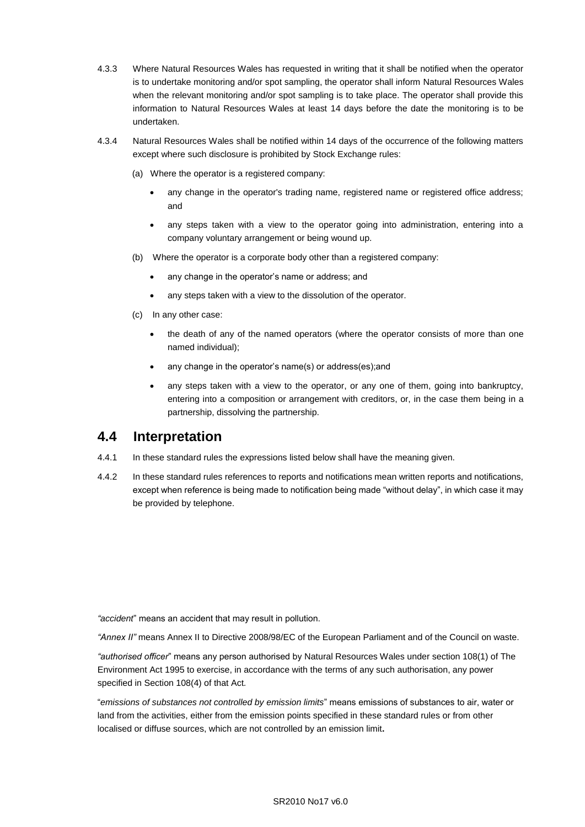- 4.3.3 Where Natural Resources Wales has requested in writing that it shall be notified when the operator is to undertake monitoring and/or spot sampling, the operator shall inform Natural Resources Wales when the relevant monitoring and/or spot sampling is to take place. The operator shall provide this information to Natural Resources Wales at least 14 days before the date the monitoring is to be undertaken.
- 4.3.4 Natural Resources Wales shall be notified within 14 days of the occurrence of the following matters except where such disclosure is prohibited by Stock Exchange rules:
	- (a) Where the operator is a registered company:
		- any change in the operator's trading name, registered name or registered office address; and
		- any steps taken with a view to the operator going into administration, entering into a company voluntary arrangement or being wound up.
	- (b) Where the operator is a corporate body other than a registered company:
		- any change in the operator's name or address; and
		- any steps taken with a view to the dissolution of the operator.
	- (c) In any other case:
		- the death of any of the named operators (where the operator consists of more than one named individual);
		- any change in the operator's name(s) or address(es);and
		- any steps taken with a view to the operator, or any one of them, going into bankruptcy, entering into a composition or arrangement with creditors, or, in the case them being in a partnership, dissolving the partnership.

### **4.4 Interpretation**

- 4.4.1 In these standard rules the expressions listed below shall have the meaning given.
- 4.4.2 In these standard rules references to reports and notifications mean written reports and notifications, except when reference is being made to notification being made "without delay", in which case it may be provided by telephone.

*"accident*" means an accident that may result in pollution.

*"Annex II"* means Annex II to Directive 2008/98/EC of the European Parliament and of the Council on waste.

*"authorised officer*" means any person authorised by Natural Resources Wales under section 108(1) of The Environment Act 1995 to exercise, in accordance with the terms of any such authorisation, any power specified in Section 108(4) of that Act*.*

"*emissions of substances not controlled by emission limits*" means emissions of substances to air, water or land from the activities, either from the emission points specified in these standard rules or from other localised or diffuse sources, which are not controlled by an emission limit**.**